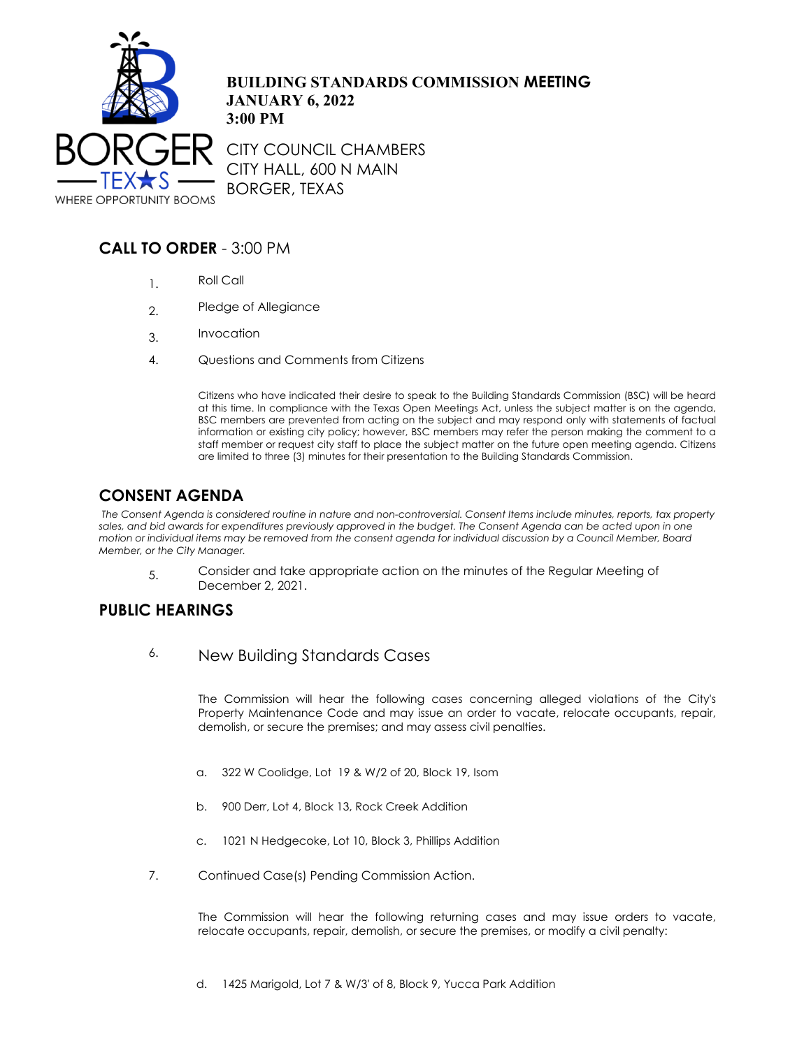

**BUILDING STANDARDS COMMISSION MEETING JANUARY 6, 2022 3:00 PM**

CITY COUNCIL CHAMBERS CITY HALL, 600 N MAIN BORGER, TEXAS

## **CALL TO ORDER** - 3:00 PM

- 1. Roll Call
- 2. Pledge of Allegiance
- 3. Invocation
- 4. Questions and Comments from Citizens

Citizens who have indicated their desire to speak to the Building Standards Commission (BSC) will be heard at this time. In compliance with the Texas Open Meetings Act, unless the subject matter is on the agenda, BSC members are prevented from acting on the subject and may respond only with statements of factual information or existing city policy; however, BSC members may refer the person making the comment to a staff member or request city staff to place the subject matter on the future open meeting agenda. Citizens are limited to three (3) minutes for their presentation to the Building Standards Commission.

## **CONSENT AGENDA**

 *The Consent Agenda is considered routine in nature and non-controversial. Consent Items include minutes, reports, tax property*  sales, and bid awards for expenditures previously approved in the budget. The Consent Agenda can be acted upon in one *motion or individual items may be removed from the consent agenda for individual discussion by a Council Member, Board Member, or the City Manager.*

5. Consider and take appropriate action on the minutes of the Regular Meeting of December 2, 2021.

## **PUBLIC HEARINGS**

6. New Building Standards Cases

The Commission will hear the following cases concerning alleged violations of the City's Property Maintenance Code and may issue an order to vacate, relocate occupants, repair, demolish, or secure the premises; and may assess civil penalties.

- a. 322 W Coolidge, Lot 19 & W/2 of 20, Block 19, Isom
- b. 900 Derr, Lot 4, Block 13, Rock Creek Addition
- c. 1021 N Hedgecoke, Lot 10, Block 3, Phillips Addition
- 7. Continued Case(s) Pending Commission Action.

The Commission will hear the following returning cases and may issue orders to vacate, relocate occupants, repair, demolish, or secure the premises, or modify a civil penalty: